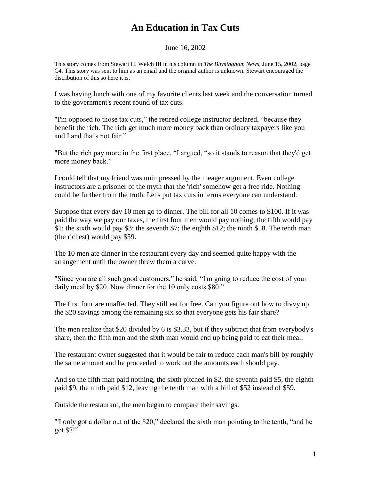## **An Education in Tax Cuts**

June 16, 2002

This story comes from Stewart H. Welch III in his column in *The Birmingham News*, June 15, 2002, page C4. This story was sent to him as an email and the original author is unknown. Stewart encouraged the distribution of this so here it is.

I was having lunch with one of my favorite clients last week and the conversation turned to the government's recent round of tax cuts.

"I'm opposed to those tax cuts," the retired college instructor declared, "because they benefit the rich. The rich get much more money back than ordinary taxpayers like you and I and that's not fair."

"But the rich pay more in the first place, "I argued, "so it stands to reason that they'd get more money back."

I could tell that my friend was unimpressed by the meager argument. Even college instructors are a prisoner of the myth that the 'rich' somehow get a free ride. Nothing could be further from the truth. Let's put tax cuts in terms everyone can understand.

Suppose that every day 10 men go to dinner. The bill for all 10 comes to \$100. If it was paid the way we pay our taxes, the first four men would pay nothing; the fifth would pay \$1; the sixth would pay \$3; the seventh \$7; the eighth \$12; the ninth \$18. The tenth man (the richest) would pay \$59.

The 10 men ate dinner in the restaurant every day and seemed quite happy with the arrangement until the owner threw them a curve.

"Since you are all such good customers," he said, "I'm going to reduce the cost of your daily meal by \$20. Now dinner for the 10 only costs \$80."

The first four are unaffected. They still eat for free. Can you figure out how to divvy up the \$20 savings among the remaining six so that everyone gets his fair share?

The men realize that \$20 divided by 6 is \$3.33, but if they subtract that from everybody's share, then the fifth man and the sixth man would end up being paid to eat their meal.

The restaurant owner suggested that it would be fair to reduce each man's bill by roughly the same amount and he proceeded to work out the amounts each should pay.

And so the fifth man paid nothing, the sixth pitched in \$2, the seventh paid \$5, the eighth paid \$9, the ninth paid \$12, leaving the tenth man with a bill of \$52 instead of \$59.

Outside the restaurant, the men began to compare their savings.

"I only got a dollar out of the \$20," declared the sixth man pointing to the tenth, "and he got\$7!"